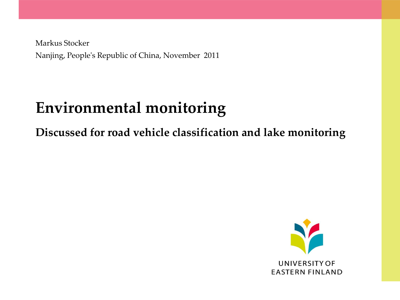Markus Stocker Nanjing, People's Republic of China, November 2011

### **Environmental monitoring**

**Discussed for road vehicle classification and lake monitoring**

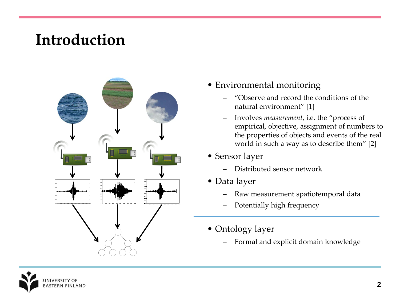#### **Introduction**



- Environmental monitoring
	- "Observe and record the conditions of the natural environment" [1]
	- Involves *measurement*, i.e. the "process of empirical, objective, assignment of numbers to the properties of objects and events of the real world in such a way as to describe them" [2]
- Sensor layer
	- Distributed sensor network
- Data layer
	- Raw measurement spatiotemporal data
	- Potentially high frequency
- Ontology layer
	- Formal and explicit domain knowledge

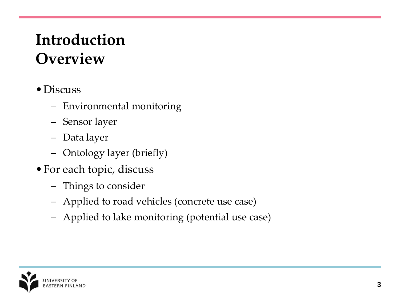## **Introduction Overview**

- Discuss
	- Environmental monitoring
	- Sensor layer
	- Data layer
	- Ontology layer (briefly)
- •For each topic, discuss
	- Things to consider
	- Applied to road vehicles (concrete use case)
	- Applied to lake monitoring (potential use case)

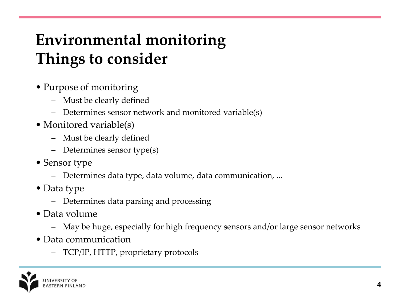# **Environmental monitoring Things to consider**

- Purpose of monitoring
	- Must be clearly defined
	- Determines sensor network and monitored variable(s)
- Monitored variable(s)
	- Must be clearly defined
	- Determines sensor type(s)
- Sensor type
	- Determines data type, data volume, data communication, ...
- Data type
	- Determines data parsing and processing
- Data volume
	- May be huge, especially for high frequency sensors and/or large sensor networks
- Data communication
	- TCP/IP, HTTP, proprietary protocols

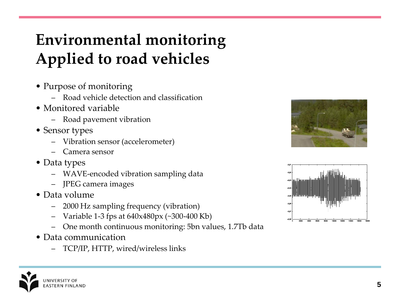# **Environmental monitoring Applied to road vehicles**

- Purpose of monitoring
	- Road vehicle detection and classification
- Monitored variable
	- Road pavement vibration
- Sensor types
	- Vibration sensor (accelerometer)
	- Camera sensor
- Data types
	- WAVE-encoded vibration sampling data
	- JPEG camera images
- Data volume
	- 2000 Hz sampling frequency (vibration)
	- Variable 1-3 fps at 640x480px (~300-400 Kb)
	- One month continuous monitoring: 5bn values, 1.7Tb data
- Data communication
	- TCP/IP, HTTP, wired/wireless links





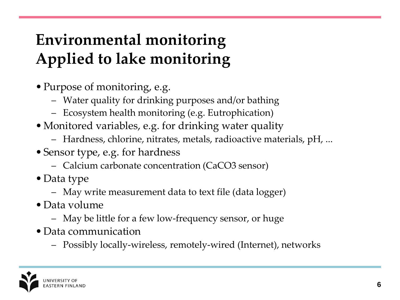# **Environmental monitoring Applied to lake monitoring**

- Purpose of monitoring, e.g.
	- Water quality for drinking purposes and/or bathing
	- Ecosystem health monitoring (e.g. Eutrophication)
- Monitored variables, e.g. for drinking water quality
	- Hardness, chlorine, nitrates, metals, radioactive materials, pH, ...
- Sensor type, e.g. for hardness
	- Calcium carbonate concentration (CaCO3 sensor)
- Data type
	- May write measurement data to text file (data logger)
- •Data volume
	- May be little for a few low-frequency sensor, or huge
- •Data communication
	- Possibly locally-wireless, remotely-wired (Internet), networks

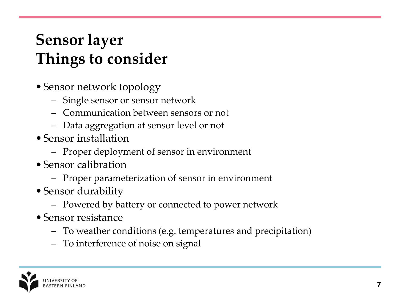## **Sensor layer Things to consider**

- Sensor network topology
	- Single sensor or sensor network
	- Communication between sensors or not
	- Data aggregation at sensor level or not
- Sensor installation
	- Proper deployment of sensor in environment
- Sensor calibration
	- Proper parameterization of sensor in environment
- Sensor durability
	- Powered by battery or connected to power network
- Sensor resistance
	- To weather conditions (e.g. temperatures and precipitation)
	- To interference of noise on signal

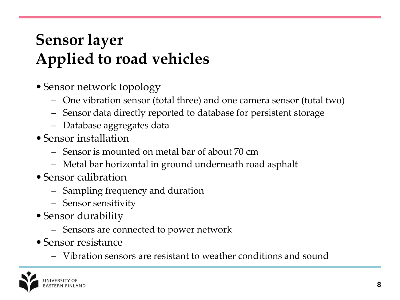# **Sensor layer Applied to road vehicles**

- Sensor network topology
	- One vibration sensor (total three) and one camera sensor (total two)
	- Sensor data directly reported to database for persistent storage
	- Database aggregates data
- Sensor installation
	- Sensor is mounted on metal bar of about 70 cm
	- Metal bar horizontal in ground underneath road asphalt
- Sensor calibration
	- Sampling frequency and duration
	- Sensor sensitivity
- Sensor durability
	- Sensors are connected to power network
- Sensor resistance
	- Vibration sensors are resistant to weather conditions and sound

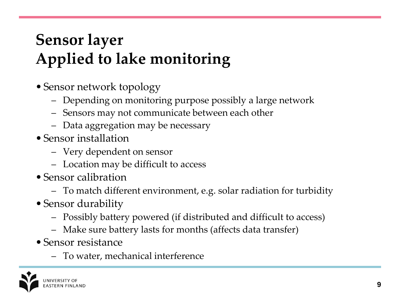# **Sensor layer Applied to lake monitoring**

- Sensor network topology
	- Depending on monitoring purpose possibly a large network
	- Sensors may not communicate between each other
	- Data aggregation may be necessary
- Sensor installation
	- Very dependent on sensor
	- Location may be difficult to access
- Sensor calibration
	- To match different environment, e.g. solar radiation for turbidity
- Sensor durability
	- Possibly battery powered (if distributed and difficult to access)
	- Make sure battery lasts for months (affects data transfer)
- Sensor resistance
	- To water, mechanical interference

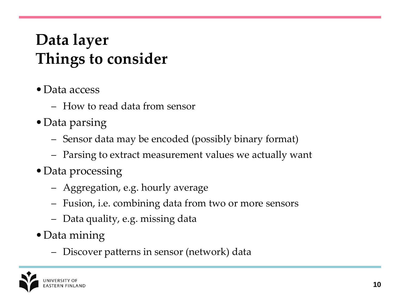## **Data layer Things to consider**

- •Data access
	- How to read data from sensor
- •Data parsing
	- Sensor data may be encoded (possibly binary format)
	- Parsing to extract measurement values we actually want
- •Data processing
	- Aggregation, e.g. hourly average
	- Fusion, i.e. combining data from two or more sensors
	- Data quality, e.g. missing data
- •Data mining
	- Discover patterns in sensor (network) data

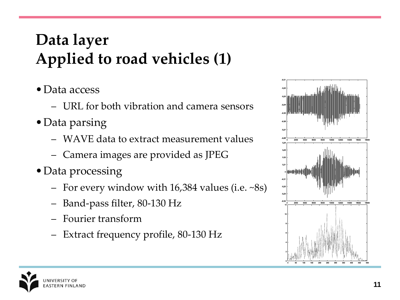# **Data layer Applied to road vehicles (1)**

- •Data access
	- URL for both vibration and camera sensors
- Data parsing
	- WAVE data to extract measurement values
	- Camera images are provided as JPEG
- •Data processing
	- For every window with 16,384 values (i.e. ~8s)
	- Band-pass filter, 80-130 Hz
	- Fourier transform
	- Extract frequency profile, 80-130 Hz



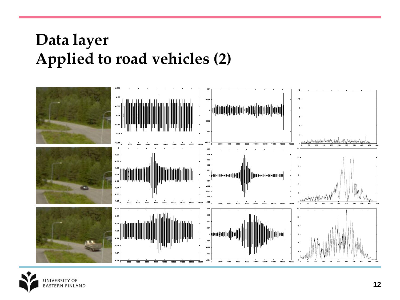#### **Data layer Applied to road vehicles (2)**



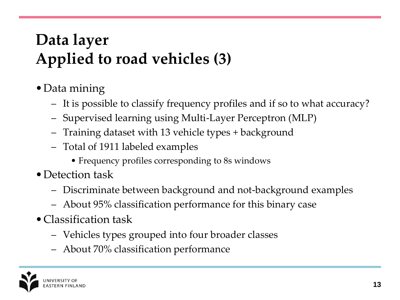# **Data layer Applied to road vehicles (3)**

- •Data mining
	- It is possible to classify frequency profiles and if so to what accuracy?
	- Supervised learning using Multi-Layer Perceptron (MLP)
	- Training dataset with 13 vehicle types + background
	- Total of 1911 labeled examples
		- Frequency profiles corresponding to 8s windows
- Detection task
	- Discriminate between background and not-background examples
	- About 95% classification performance for this binary case
- •Classification task
	- Vehicles types grouped into four broader classes
	- About 70% classification performance

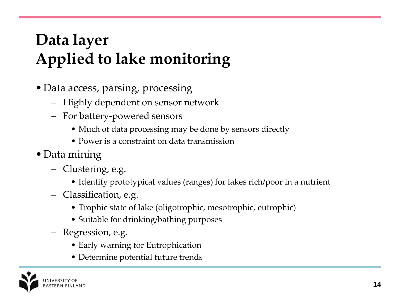# **Data layer Applied to lake monitoring**

- •Data access, parsing, processing
	- Highly dependent on sensor network
	- For battery-powered sensors
		- Much of data processing may be done by sensors directly
		- Power is a constraint on data transmission
- •Data mining
	- Clustering, e.g.
		- Identify prototypical values (ranges) for lakes rich/poor in a nutrient
	- Classification, e.g.
		- Trophic state of lake (oligotrophic, mesotrophic, eutrophic)
		- Suitable for drinking/bathing purposes
	- Regression, e.g.
		- Early warning for Eutrophication
		- Determine potential future trends

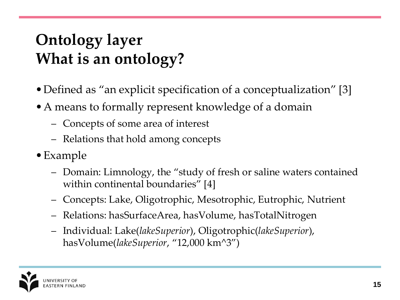## **Ontology layer What is an ontology?**

- Defined as "an explicit specification of a conceptualization" [3]
- •A means to formally represent knowledge of a domain
	- Concepts of some area of interest
	- Relations that hold among concepts
- •Example
	- Domain: Limnology, the "study of fresh or saline waters contained within continental boundaries" [4]
	- Concepts: Lake, Oligotrophic, Mesotrophic, Eutrophic, Nutrient
	- Relations: hasSurfaceArea, hasVolume, hasTotalNitrogen
	- Individual: Lake(*lakeSuperior*), Oligotrophic(*lakeSuperior*), hasVolume(*lakeSuperior*, "12,000 km^3")

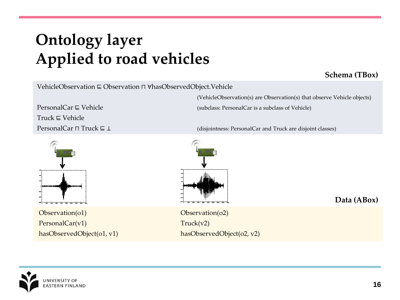## **Ontology layer Applied to road vehicles**

#### **Schema (TBox)**

VehicleObservation ⊑ Observation ⊓ ∀hasObservedObject.Vehicle

PersonalCar ⊑ Vehicle (subclass: PersonalCar is a subclass of Vehicle)

Truck ⊑ Vehicle

PersonalCar ⊓ Truck ⊑ ⊥ (disjointness: PersonalCar and Truck are disjoint classes)

(VehicleObservation(s) are Observation(s) that observe Vehicle objects)



Observation(o1) PersonalCar(v1) hasObservedObject(o1, v1)



Observation(o2) Truck(v2) hasObservedObject(o2, v2) **Data (ABox)**

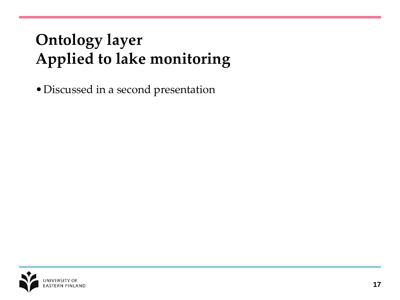# **Ontology layer Applied to lake monitoring**

•Discussed in a second presentation

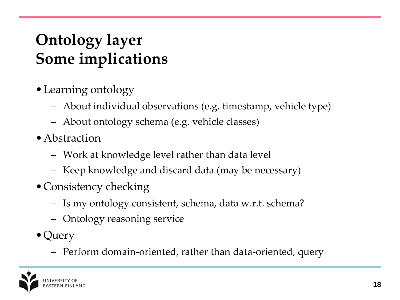## **Ontology layer Some implications**

- •Learning ontology
	- About individual observations (e.g. timestamp, vehicle type)
	- About ontology schema (e.g. vehicle classes)
- Abstraction
	- Work at knowledge level rather than data level
	- Keep knowledge and discard data (may be necessary)
- •Consistency checking
	- Is my ontology consistent, schema, data w.r.t. schema?
	- Ontology reasoning service
- Query
	- Perform domain-oriented, rather than data-oriented, query

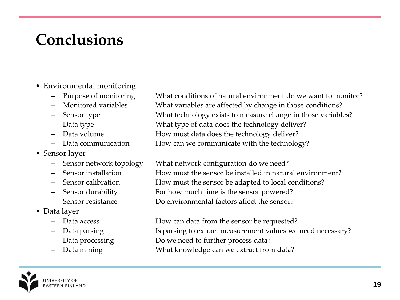## **Conclusions**

- Environmental monitoring
	-
	-
	-
	-
	-
	-
- Sensor layer
	-
	-
	-
	-
	-
- Data layer
	-
	-
	-
	-

Purpose of monitoring What conditions of natural environment do we want to monitor? Monitored variables What variables are affected by change in those conditions? Sensor type What technology exists to measure change in those variables? – Data type What type of data does the technology deliver? Data volume How must data does the technology deliver? Data communication How can we communicate with the technology?

– Sensor network topology What network configuration do we need? – Sensor installation How must the sensor be installed in natural environment? Sensor calibration How must the sensor be adapted to local conditions? – Sensor durability For how much time is the sensor powered? – Sensor resistance Do environmental factors affect the sensor?

Data access **How can data from the sensor be requested?** Data parsing Is parsing to extract measurement values we need necessary? Data processing Do we need to further process data? – Data mining What knowledge can we extract from data?